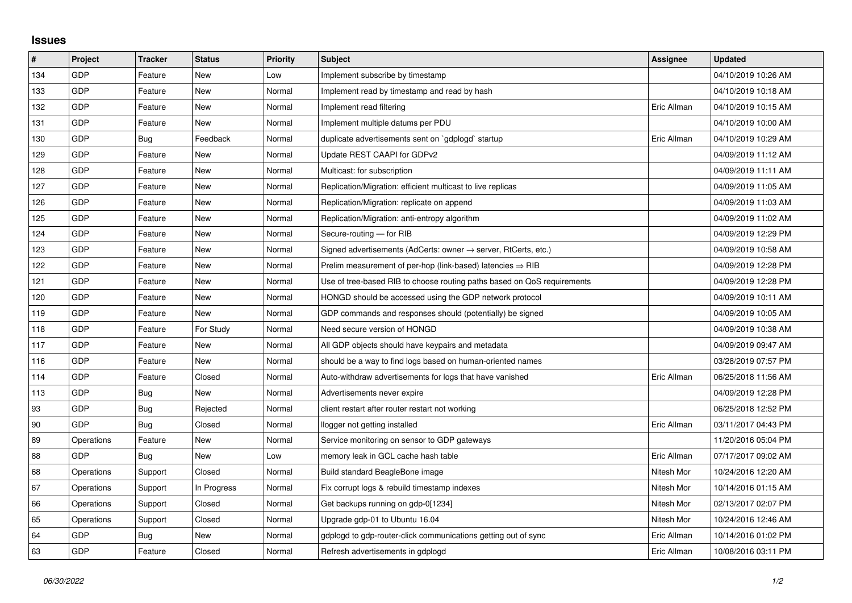## **Issues**

| #   | Project    | <b>Tracker</b> | <b>Status</b> | <b>Priority</b> | <b>Subject</b>                                                          | Assignee    | <b>Updated</b>      |
|-----|------------|----------------|---------------|-----------------|-------------------------------------------------------------------------|-------------|---------------------|
| 134 | GDP        | Feature        | <b>New</b>    | Low             | Implement subscribe by timestamp                                        |             | 04/10/2019 10:26 AM |
| 133 | GDP        | Feature        | New           | Normal          | Implement read by timestamp and read by hash                            |             | 04/10/2019 10:18 AM |
| 132 | GDP        | Feature        | New           | Normal          | Implement read filtering                                                | Eric Allman | 04/10/2019 10:15 AM |
| 131 | GDP        | Feature        | <b>New</b>    | Normal          | Implement multiple datums per PDU                                       |             | 04/10/2019 10:00 AM |
| 130 | GDP        | Bug            | Feedback      | Normal          | duplicate advertisements sent on `gdplogd` startup                      | Eric Allman | 04/10/2019 10:29 AM |
| 129 | GDP        | Feature        | New           | Normal          | Update REST CAAPI for GDPv2                                             |             | 04/09/2019 11:12 AM |
| 128 | GDP        | Feature        | <b>New</b>    | Normal          | Multicast: for subscription                                             |             | 04/09/2019 11:11 AM |
| 127 | GDP        | Feature        | New           | Normal          | Replication/Migration: efficient multicast to live replicas             |             | 04/09/2019 11:05 AM |
| 126 | GDP        | Feature        | <b>New</b>    | Normal          | Replication/Migration: replicate on append                              |             | 04/09/2019 11:03 AM |
| 125 | GDP        | Feature        | New           | Normal          | Replication/Migration: anti-entropy algorithm                           |             | 04/09/2019 11:02 AM |
| 124 | GDP        | Feature        | New           | Normal          | Secure-routing - for RIB                                                |             | 04/09/2019 12:29 PM |
| 123 | GDP        | Feature        | New           | Normal          | Signed advertisements (AdCerts: owner → server, RtCerts, etc.)          |             | 04/09/2019 10:58 AM |
| 122 | GDP        | Feature        | New           | Normal          | Prelim measurement of per-hop (link-based) latencies $\Rightarrow$ RIB  |             | 04/09/2019 12:28 PM |
| 121 | GDP        | Feature        | New           | Normal          | Use of tree-based RIB to choose routing paths based on QoS requirements |             | 04/09/2019 12:28 PM |
| 120 | GDP        | Feature        | <b>New</b>    | Normal          | HONGD should be accessed using the GDP network protocol                 |             | 04/09/2019 10:11 AM |
| 119 | GDP        | Feature        | <b>New</b>    | Normal          | GDP commands and responses should (potentially) be signed               |             | 04/09/2019 10:05 AM |
| 118 | GDP        | Feature        | For Study     | Normal          | Need secure version of HONGD                                            |             | 04/09/2019 10:38 AM |
| 117 | GDP        | Feature        | New           | Normal          | All GDP objects should have keypairs and metadata                       |             | 04/09/2019 09:47 AM |
| 116 | GDP        | Feature        | <b>New</b>    | Normal          | should be a way to find logs based on human-oriented names              |             | 03/28/2019 07:57 PM |
| 114 | GDP        | Feature        | Closed        | Normal          | Auto-withdraw advertisements for logs that have vanished                | Eric Allman | 06/25/2018 11:56 AM |
| 113 | GDP        | Bug            | New           | Normal          | Advertisements never expire                                             |             | 04/09/2019 12:28 PM |
| 93  | GDP        | Bug            | Rejected      | Normal          | client restart after router restart not working                         |             | 06/25/2018 12:52 PM |
| 90  | GDP        | Bug            | Closed        | Normal          | llogger not getting installed                                           | Eric Allman | 03/11/2017 04:43 PM |
| 89  | Operations | Feature        | New           | Normal          | Service monitoring on sensor to GDP gateways                            |             | 11/20/2016 05:04 PM |
| 88  | <b>GDP</b> | <b>Bug</b>     | New           | Low             | memory leak in GCL cache hash table                                     | Eric Allman | 07/17/2017 09:02 AM |
| 68  | Operations | Support        | Closed        | Normal          | Build standard BeagleBone image                                         | Nitesh Mor  | 10/24/2016 12:20 AM |
| 67  | Operations | Support        | In Progress   | Normal          | Fix corrupt logs & rebuild timestamp indexes                            | Nitesh Mor  | 10/14/2016 01:15 AM |
| 66  | Operations | Support        | Closed        | Normal          | Get backups running on gdp-0[1234]                                      | Nitesh Mor  | 02/13/2017 02:07 PM |
| 65  | Operations | Support        | Closed        | Normal          | Upgrade gdp-01 to Ubuntu 16.04                                          | Nitesh Mor  | 10/24/2016 12:46 AM |
| 64  | GDP        | Bug            | New           | Normal          | gdplogd to gdp-router-click communications getting out of sync          | Eric Allman | 10/14/2016 01:02 PM |
| 63  | GDP        | Feature        | Closed        | Normal          | Refresh advertisements in gdplogd                                       | Eric Allman | 10/08/2016 03:11 PM |